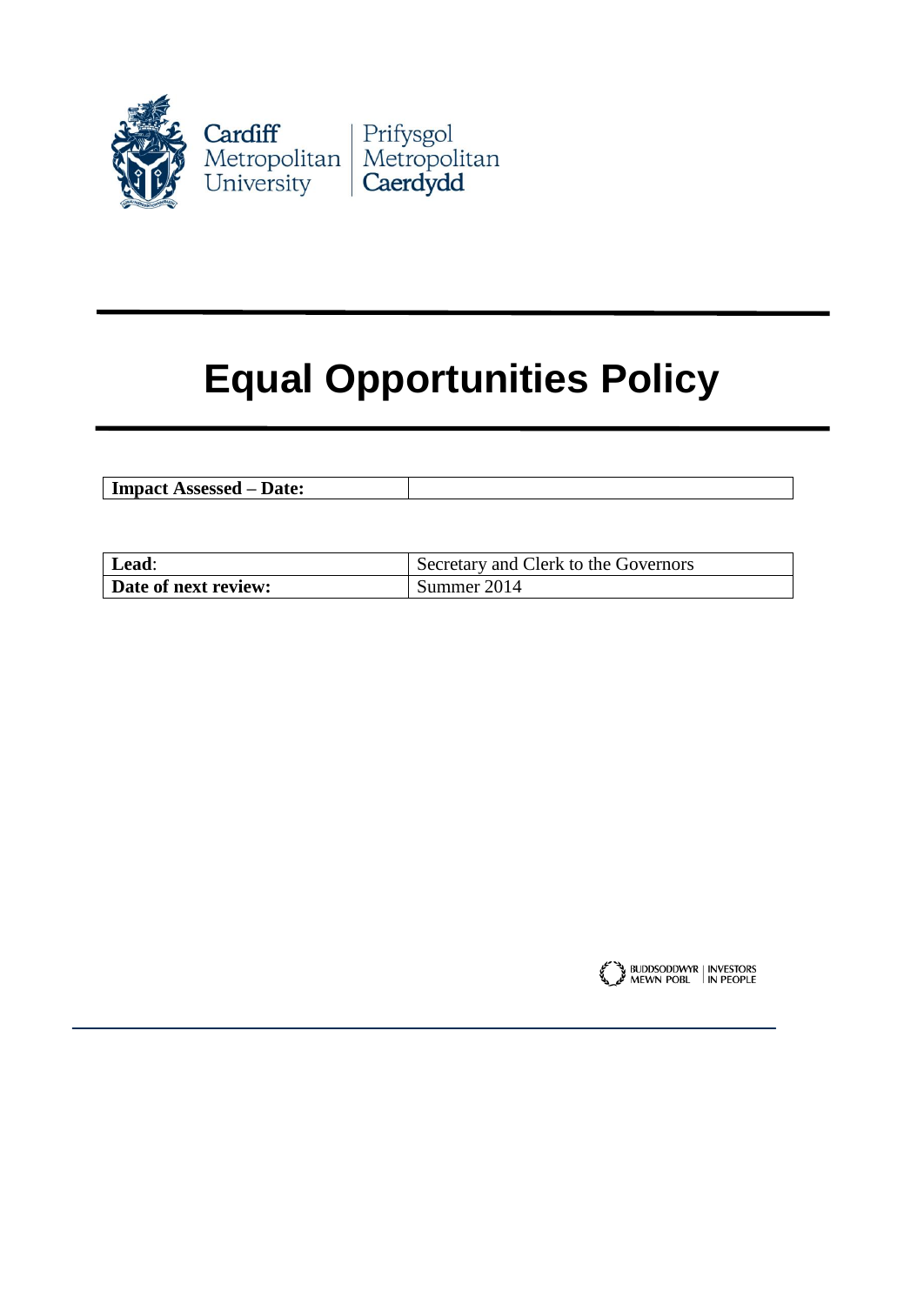

# **Equal Opportunities Policy**

| $- - - - - - -$<br>Date:<br>COOCOOO<br>7.551<br>---<br>--- |  |
|------------------------------------------------------------|--|
|                                                            |  |

| Lead:                | Secretary and Clerk to the Governors |
|----------------------|--------------------------------------|
| Date of next review: | Summer 2014                          |

BUDDSODDWYR | INVESTORS<br>MEWN POBL | IN PEOPLE للمحلج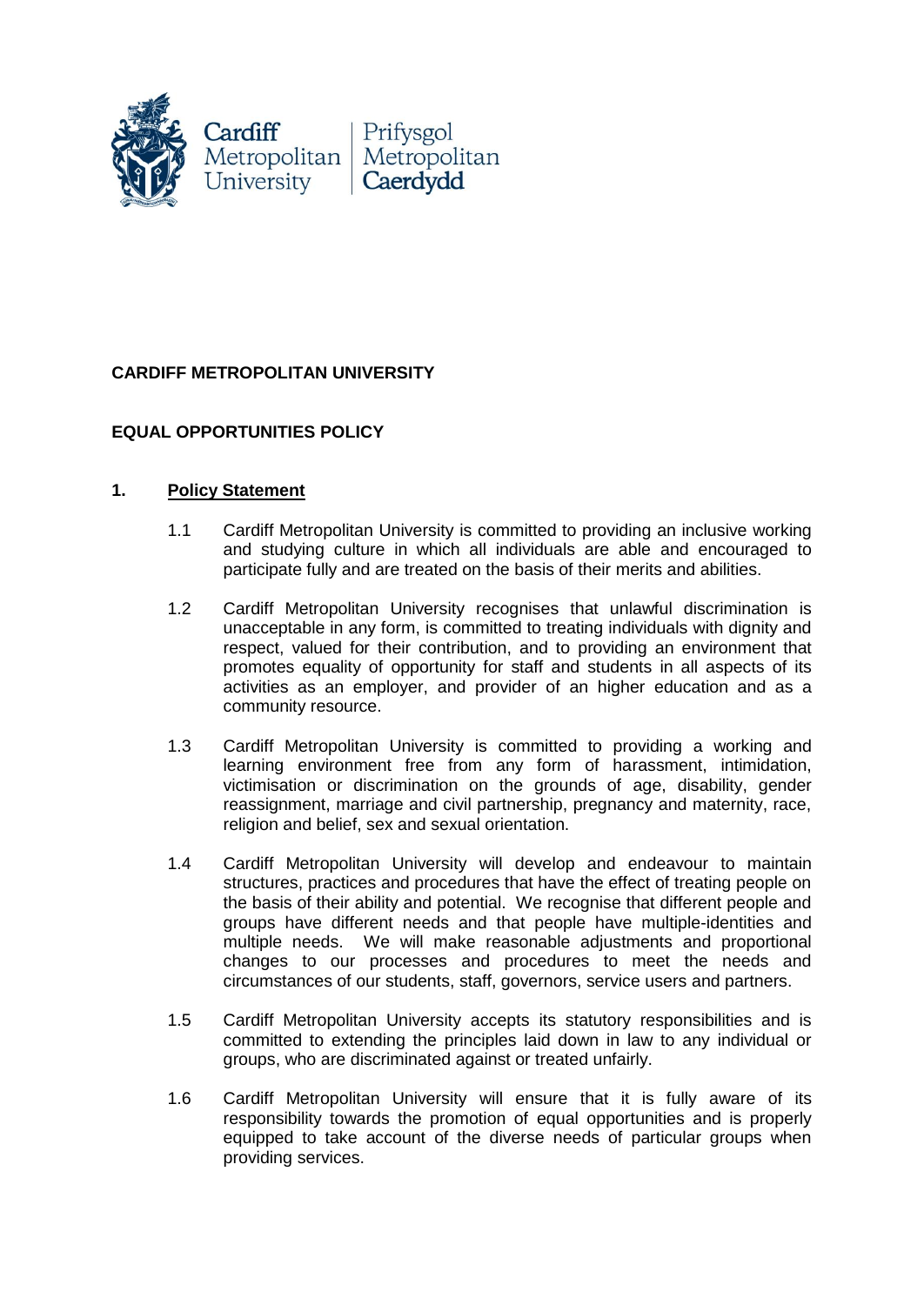

## **CARDIFF METROPOLITAN UNIVERSITY**

## **EQUAL OPPORTUNITIES POLICY**

#### **1. Policy Statement**

- 1.1 Cardiff Metropolitan University is committed to providing an inclusive working and studying culture in which all individuals are able and encouraged to participate fully and are treated on the basis of their merits and abilities.
- 1.2 Cardiff Metropolitan University recognises that unlawful discrimination is unacceptable in any form, is committed to treating individuals with dignity and respect, valued for their contribution, and to providing an environment that promotes equality of opportunity for staff and students in all aspects of its activities as an employer, and provider of an higher education and as a community resource.
- 1.3 Cardiff Metropolitan University is committed to providing a working and learning environment free from any form of harassment, intimidation, victimisation or discrimination on the grounds of age, disability, gender reassignment, marriage and civil partnership, pregnancy and maternity, race, religion and belief, sex and sexual orientation.
- 1.4 Cardiff Metropolitan University will develop and endeavour to maintain structures, practices and procedures that have the effect of treating people on the basis of their ability and potential. We recognise that different people and groups have different needs and that people have multiple-identities and multiple needs. We will make reasonable adjustments and proportional changes to our processes and procedures to meet the needs and circumstances of our students, staff, governors, service users and partners.
- 1.5 Cardiff Metropolitan University accepts its statutory responsibilities and is committed to extending the principles laid down in law to any individual or groups, who are discriminated against or treated unfairly.
- 1.6 Cardiff Metropolitan University will ensure that it is fully aware of its responsibility towards the promotion of equal opportunities and is properly equipped to take account of the diverse needs of particular groups when providing services.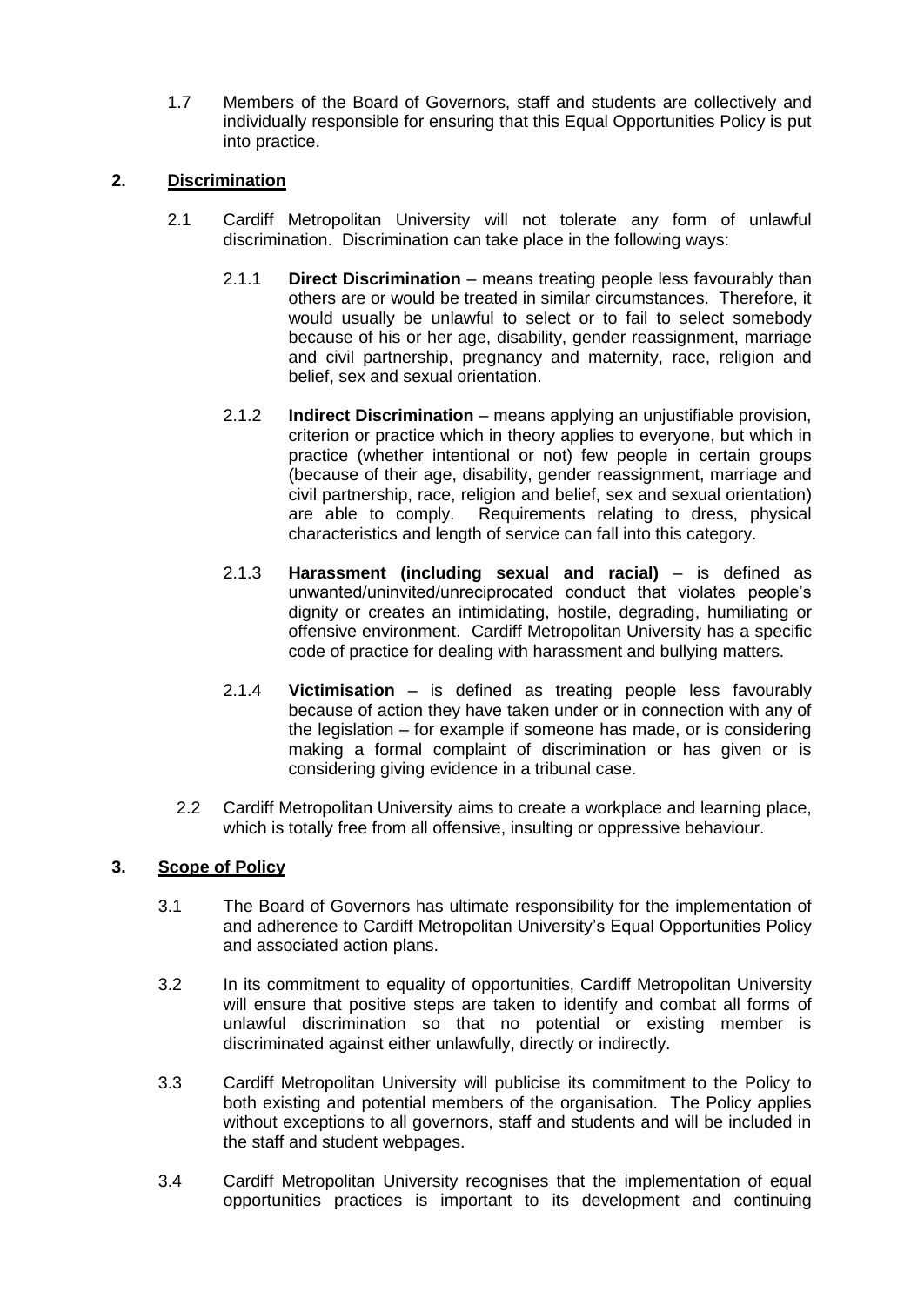1.7 Members of the Board of Governors, staff and students are collectively and individually responsible for ensuring that this Equal Opportunities Policy is put into practice.

### **2. Discrimination**

- 2.1 Cardiff Metropolitan University will not tolerate any form of unlawful discrimination. Discrimination can take place in the following ways:
	- 2.1.1 **Direct Discrimination** means treating people less favourably than others are or would be treated in similar circumstances. Therefore, it would usually be unlawful to select or to fail to select somebody because of his or her age, disability, gender reassignment, marriage and civil partnership, pregnancy and maternity, race, religion and belief, sex and sexual orientation.
	- 2.1.2 **Indirect Discrimination** means applying an unjustifiable provision, criterion or practice which in theory applies to everyone, but which in practice (whether intentional or not) few people in certain groups (because of their age, disability, gender reassignment, marriage and civil partnership, race, religion and belief, sex and sexual orientation) are able to comply. Requirements relating to dress, physical characteristics and length of service can fall into this category.
	- 2.1.3 **Harassment (including sexual and racial)** is defined as unwanted/uninvited/unreciprocated conduct that violates people's dignity or creates an intimidating, hostile, degrading, humiliating or offensive environment. Cardiff Metropolitan University has a specific code of practice for dealing with harassment and bullying matters.
	- 2.1.4 **Victimisation** is defined as treating people less favourably because of action they have taken under or in connection with any of the legislation – for example if someone has made, or is considering making a formal complaint of discrimination or has given or is considering giving evidence in a tribunal case.
- 2.2 Cardiff Metropolitan University aims to create a workplace and learning place, which is totally free from all offensive, insulting or oppressive behaviour.

#### **3. Scope of Policy**

- 3.1 The Board of Governors has ultimate responsibility for the implementation of and adherence to Cardiff Metropolitan University's Equal Opportunities Policy and associated action plans.
- 3.2 In its commitment to equality of opportunities, Cardiff Metropolitan University will ensure that positive steps are taken to identify and combat all forms of unlawful discrimination so that no potential or existing member is discriminated against either unlawfully, directly or indirectly.
- 3.3 Cardiff Metropolitan University will publicise its commitment to the Policy to both existing and potential members of the organisation. The Policy applies without exceptions to all governors, staff and students and will be included in the staff and student webpages.
- 3.4 Cardiff Metropolitan University recognises that the implementation of equal opportunities practices is important to its development and continuing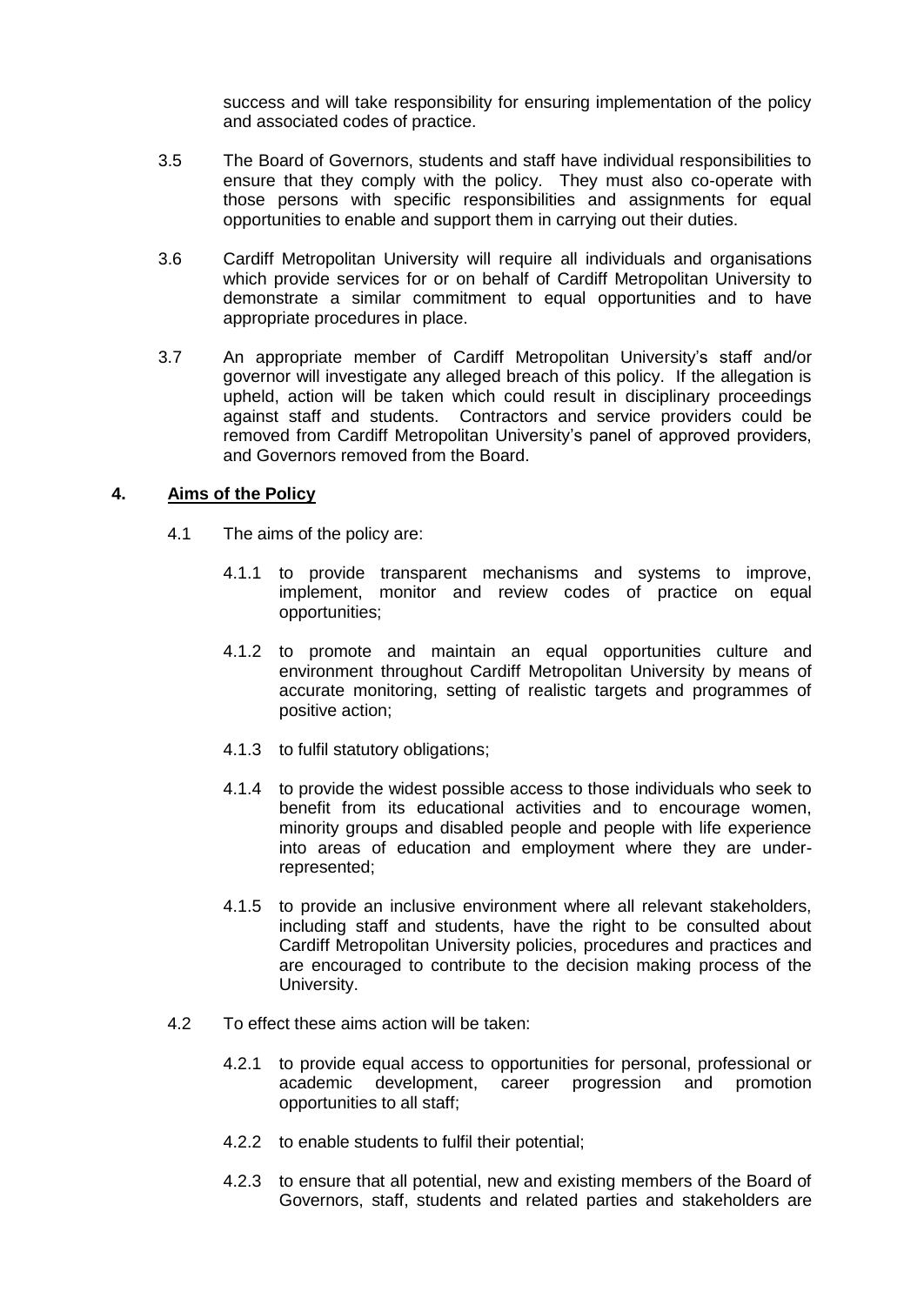success and will take responsibility for ensuring implementation of the policy and associated codes of practice.

- 3.5 The Board of Governors, students and staff have individual responsibilities to ensure that they comply with the policy. They must also co-operate with those persons with specific responsibilities and assignments for equal opportunities to enable and support them in carrying out their duties.
- 3.6 Cardiff Metropolitan University will require all individuals and organisations which provide services for or on behalf of Cardiff Metropolitan University to demonstrate a similar commitment to equal opportunities and to have appropriate procedures in place.
- 3.7 An appropriate member of Cardiff Metropolitan University's staff and/or governor will investigate any alleged breach of this policy. If the allegation is upheld, action will be taken which could result in disciplinary proceedings against staff and students. Contractors and service providers could be removed from Cardiff Metropolitan University's panel of approved providers, and Governors removed from the Board.

#### **4. Aims of the Policy**

- 4.1 The aims of the policy are:
	- 4.1.1 to provide transparent mechanisms and systems to improve, implement, monitor and review codes of practice on equal opportunities;
	- 4.1.2 to promote and maintain an equal opportunities culture and environment throughout Cardiff Metropolitan University by means of accurate monitoring, setting of realistic targets and programmes of positive action;
	- 4.1.3 to fulfil statutory obligations;
	- 4.1.4 to provide the widest possible access to those individuals who seek to benefit from its educational activities and to encourage women, minority groups and disabled people and people with life experience into areas of education and employment where they are underrepresented;
	- 4.1.5 to provide an inclusive environment where all relevant stakeholders, including staff and students, have the right to be consulted about Cardiff Metropolitan University policies, procedures and practices and are encouraged to contribute to the decision making process of the University.
- 4.2 To effect these aims action will be taken:
	- 4.2.1 to provide equal access to opportunities for personal, professional or academic development, career progression and promotion opportunities to all staff;
	- 4.2.2 to enable students to fulfil their potential;
	- 4.2.3 to ensure that all potential, new and existing members of the Board of Governors, staff, students and related parties and stakeholders are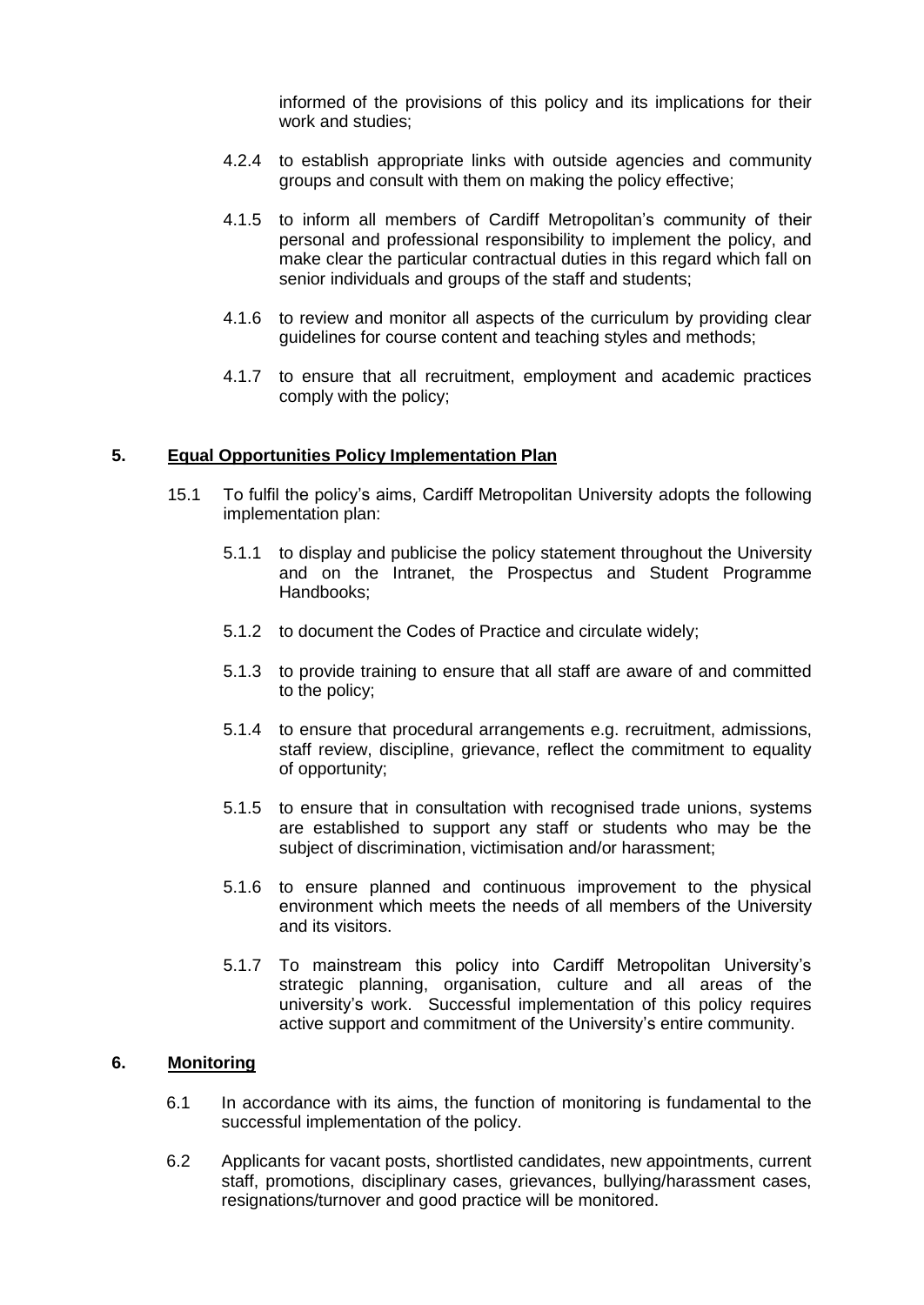informed of the provisions of this policy and its implications for their work and studies;

- 4.2.4 to establish appropriate links with outside agencies and community groups and consult with them on making the policy effective;
- 4.1.5 to inform all members of Cardiff Metropolitan's community of their personal and professional responsibility to implement the policy, and make clear the particular contractual duties in this regard which fall on senior individuals and groups of the staff and students;
- 4.1.6 to review and monitor all aspects of the curriculum by providing clear guidelines for course content and teaching styles and methods;
- 4.1.7 to ensure that all recruitment, employment and academic practices comply with the policy;

#### **5. Equal Opportunities Policy Implementation Plan**

- 15.1 To fulfil the policy's aims, Cardiff Metropolitan University adopts the following implementation plan:
	- 5.1.1 to display and publicise the policy statement throughout the University and on the Intranet, the Prospectus and Student Programme Handbooks;
	- 5.1.2 to document the Codes of Practice and circulate widely;
	- 5.1.3 to provide training to ensure that all staff are aware of and committed to the policy;
	- 5.1.4 to ensure that procedural arrangements e.g. recruitment, admissions, staff review, discipline, grievance, reflect the commitment to equality of opportunity;
	- 5.1.5 to ensure that in consultation with recognised trade unions, systems are established to support any staff or students who may be the subject of discrimination, victimisation and/or harassment;
	- 5.1.6 to ensure planned and continuous improvement to the physical environment which meets the needs of all members of the University and its visitors.
	- 5.1.7 To mainstream this policy into Cardiff Metropolitan University's strategic planning, organisation, culture and all areas of the university's work. Successful implementation of this policy requires active support and commitment of the University's entire community.

#### **6. Monitoring**

- 6.1 In accordance with its aims, the function of monitoring is fundamental to the successful implementation of the policy.
- 6.2 Applicants for vacant posts, shortlisted candidates, new appointments, current staff, promotions, disciplinary cases, grievances, bullying/harassment cases, resignations/turnover and good practice will be monitored.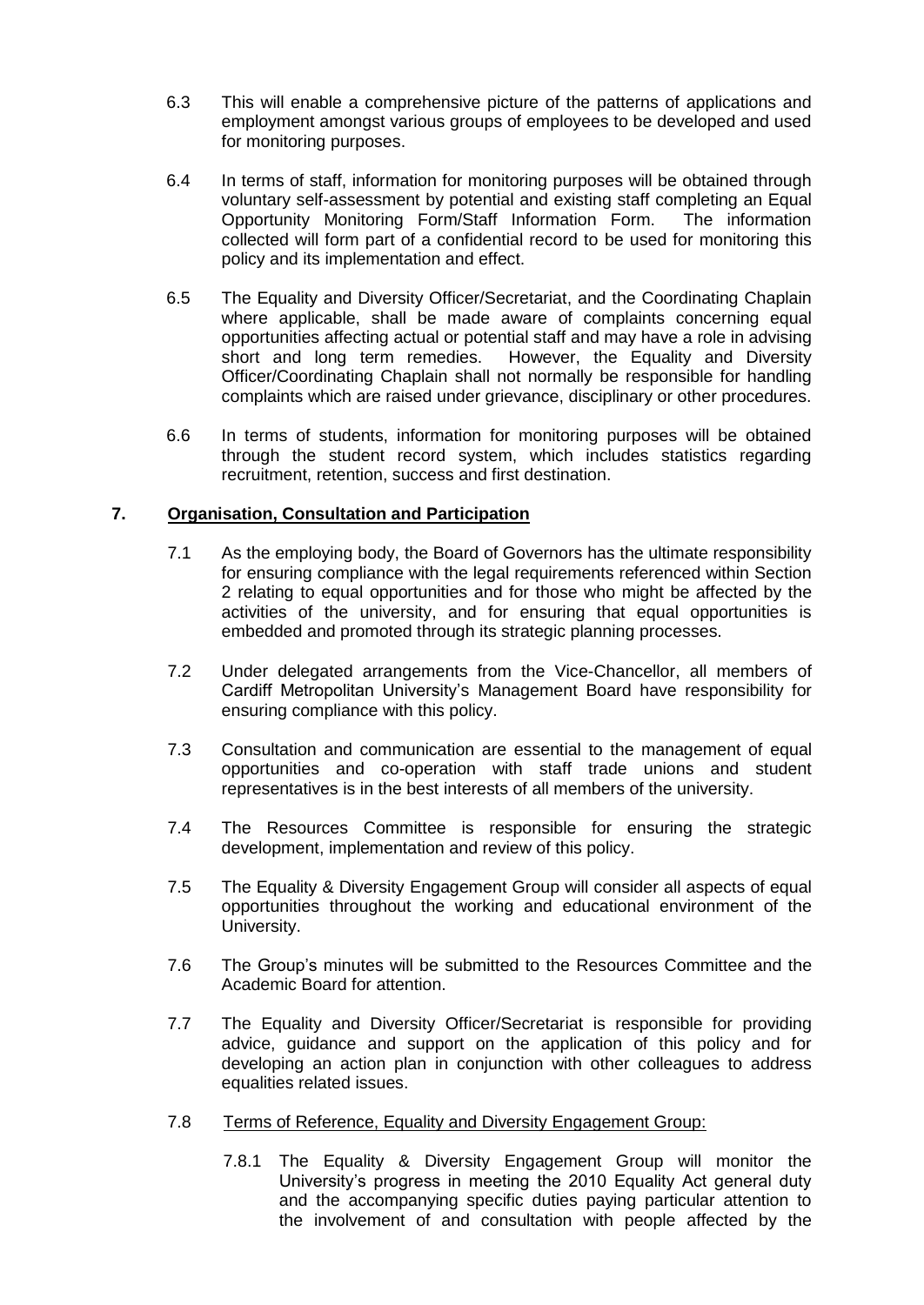- 6.3 This will enable a comprehensive picture of the patterns of applications and employment amongst various groups of employees to be developed and used for monitoring purposes.
- 6.4 In terms of staff, information for monitoring purposes will be obtained through voluntary self-assessment by potential and existing staff completing an Equal Opportunity Monitoring Form/Staff Information Form. The information collected will form part of a confidential record to be used for monitoring this policy and its implementation and effect.
- 6.5 The Equality and Diversity Officer/Secretariat, and the Coordinating Chaplain where applicable, shall be made aware of complaints concerning equal opportunities affecting actual or potential staff and may have a role in advising short and long term remedies. However, the Equality and Diversity Officer/Coordinating Chaplain shall not normally be responsible for handling complaints which are raised under grievance, disciplinary or other procedures.
- 6.6 In terms of students, information for monitoring purposes will be obtained through the student record system, which includes statistics regarding recruitment, retention, success and first destination.

### **7. Organisation, Consultation and Participation**

- 7.1 As the employing body, the Board of Governors has the ultimate responsibility for ensuring compliance with the legal requirements referenced within Section 2 relating to equal opportunities and for those who might be affected by the activities of the university, and for ensuring that equal opportunities is embedded and promoted through its strategic planning processes.
- 7.2 Under delegated arrangements from the Vice-Chancellor, all members of Cardiff Metropolitan University's Management Board have responsibility for ensuring compliance with this policy.
- 7.3 Consultation and communication are essential to the management of equal opportunities and co-operation with staff trade unions and student representatives is in the best interests of all members of the university.
- 7.4 The Resources Committee is responsible for ensuring the strategic development, implementation and review of this policy.
- 7.5 The Equality & Diversity Engagement Group will consider all aspects of equal opportunities throughout the working and educational environment of the University.
- 7.6 The Group's minutes will be submitted to the Resources Committee and the Academic Board for attention.
- 7.7 The Equality and Diversity Officer/Secretariat is responsible for providing advice, guidance and support on the application of this policy and for developing an action plan in conjunction with other colleagues to address equalities related issues.
- 7.8 Terms of Reference, Equality and Diversity Engagement Group:
	- 7.8.1 The Equality & Diversity Engagement Group will monitor the University's progress in meeting the 2010 Equality Act general duty and the accompanying specific duties paying particular attention to the involvement of and consultation with people affected by the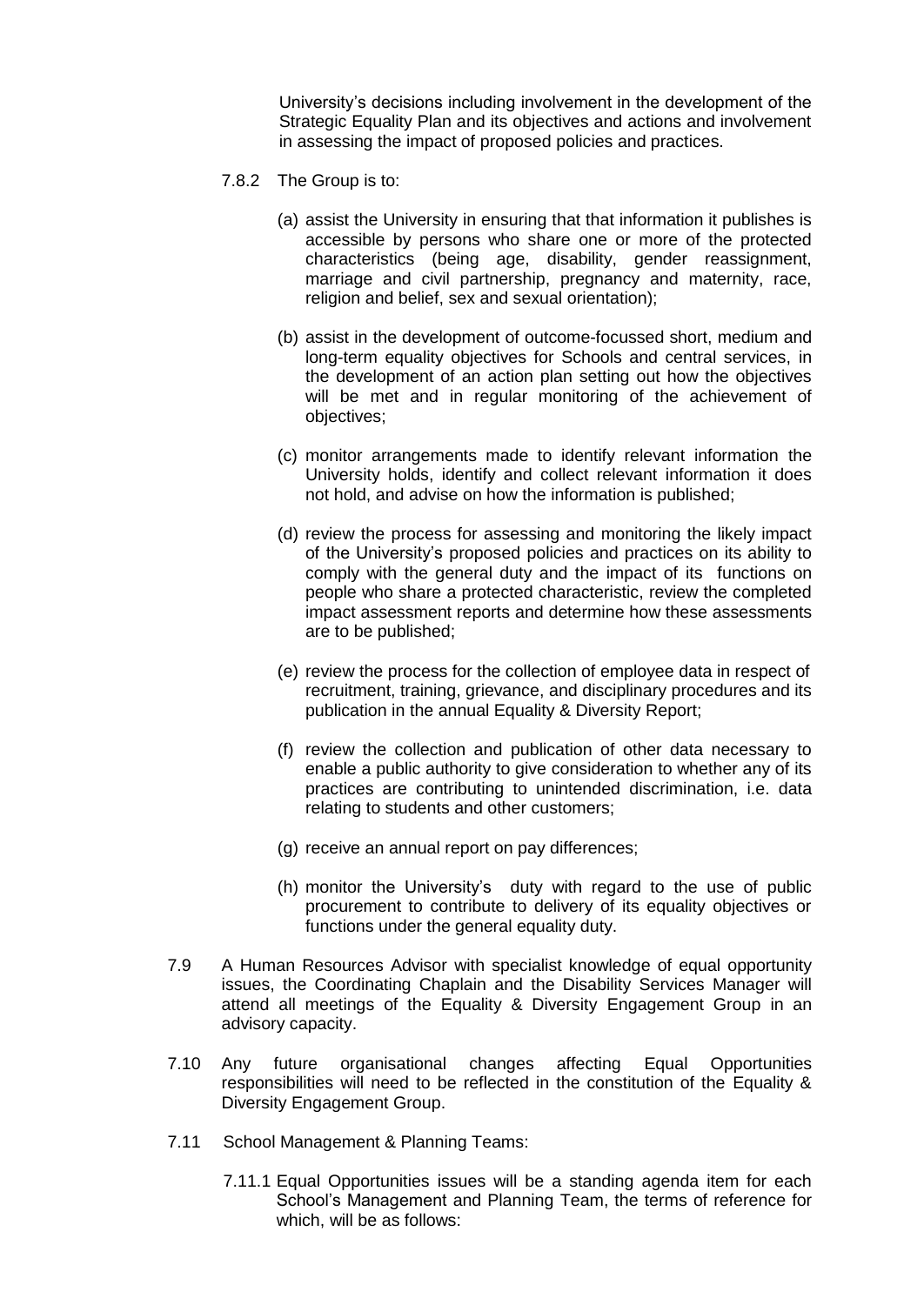University's decisions including involvement in the development of the Strategic Equality Plan and its objectives and actions and involvement in assessing the impact of proposed policies and practices.

- 7.8.2 The Group is to:
	- (a) assist the University in ensuring that that information it publishes is accessible by persons who share one or more of the protected characteristics (being age, disability, gender reassignment, marriage and civil partnership, pregnancy and maternity, race, religion and belief, sex and sexual orientation);
	- (b) assist in the development of outcome-focussed short, medium and long-term equality objectives for Schools and central services, in the development of an action plan setting out how the objectives will be met and in regular monitoring of the achievement of objectives;
	- (c) monitor arrangements made to identify relevant information the University holds, identify and collect relevant information it does not hold, and advise on how the information is published;
	- (d) review the process for assessing and monitoring the likely impact of the University's proposed policies and practices on its ability to comply with the general duty and the impact of its functions on people who share a protected characteristic, review the completed impact assessment reports and determine how these assessments are to be published;
	- (e) review the process for the collection of employee data in respect of recruitment, training, grievance, and disciplinary procedures and its publication in the annual Equality & Diversity Report;
	- (f) review the collection and publication of other data necessary to enable a public authority to give consideration to whether any of its practices are contributing to unintended discrimination, i.e. data relating to students and other customers;
	- (g) receive an annual report on pay differences;
	- (h) monitor the University's duty with regard to the use of public procurement to contribute to delivery of its equality objectives or functions under the general equality duty.
- 7.9 A Human Resources Advisor with specialist knowledge of equal opportunity issues, the Coordinating Chaplain and the Disability Services Manager will attend all meetings of the Equality & Diversity Engagement Group in an advisory capacity.
- 7.10 Any future organisational changes affecting Equal Opportunities responsibilities will need to be reflected in the constitution of the Equality & Diversity Engagement Group.
- 7.11 School Management & Planning Teams:
	- 7.11.1 Equal Opportunities issues will be a standing agenda item for each School's Management and Planning Team, the terms of reference for which, will be as follows: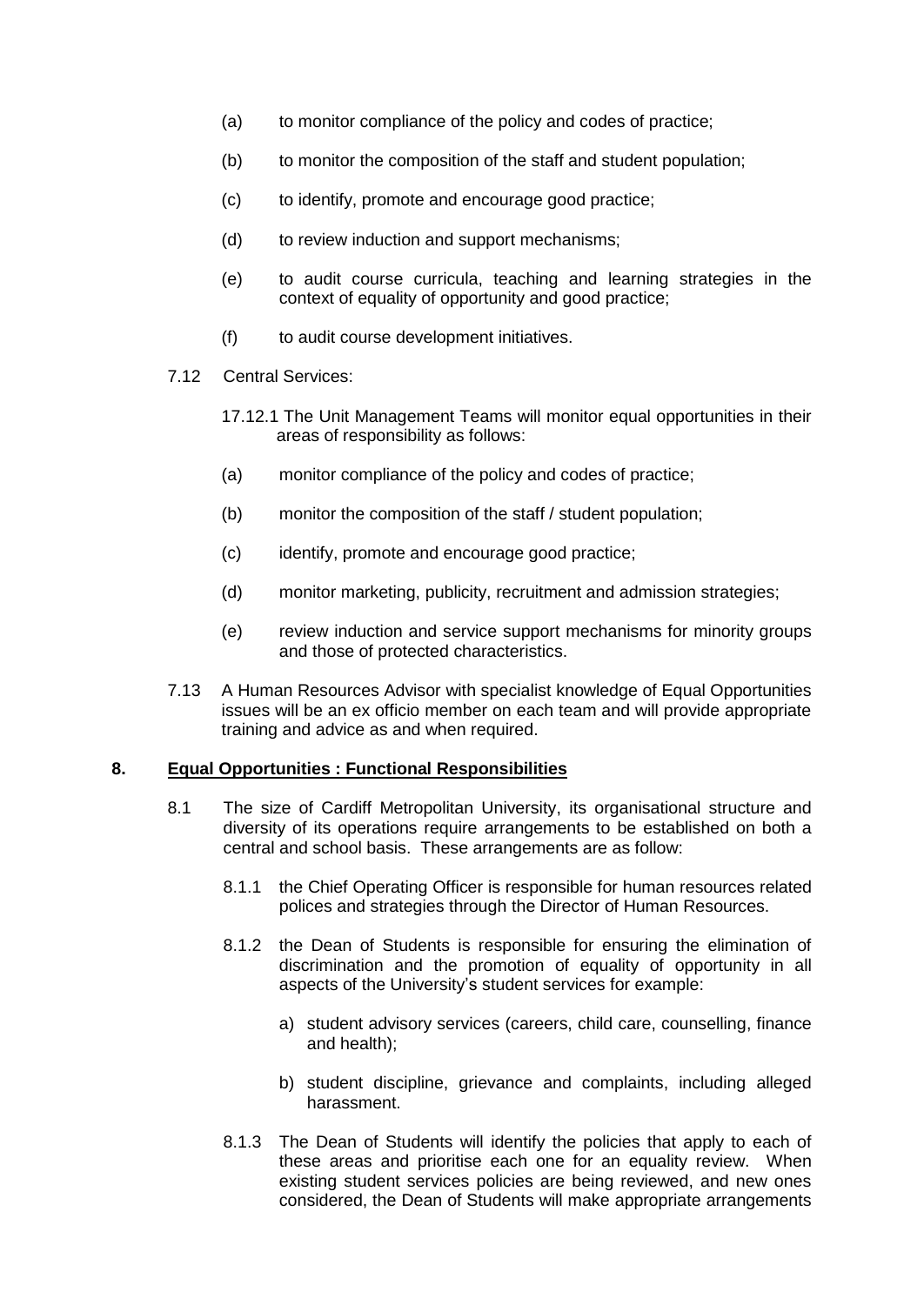- (a) to monitor compliance of the policy and codes of practice;
- (b) to monitor the composition of the staff and student population;
- (c) to identify, promote and encourage good practice;
- (d) to review induction and support mechanisms;
- (e) to audit course curricula, teaching and learning strategies in the context of equality of opportunity and good practice;
- (f) to audit course development initiatives.
- 7.12 Central Services:
	- 17.12.1 The Unit Management Teams will monitor equal opportunities in their areas of responsibility as follows:
	- (a) monitor compliance of the policy and codes of practice;
	- (b) monitor the composition of the staff / student population;
	- (c) identify, promote and encourage good practice;
	- (d) monitor marketing, publicity, recruitment and admission strategies;
	- (e) review induction and service support mechanisms for minority groups and those of protected characteristics.
- 7.13 A Human Resources Advisor with specialist knowledge of Equal Opportunities issues will be an ex officio member on each team and will provide appropriate training and advice as and when required.

#### **8. Equal Opportunities : Functional Responsibilities**

- 8.1 The size of Cardiff Metropolitan University, its organisational structure and diversity of its operations require arrangements to be established on both a central and school basis. These arrangements are as follow:
	- 8.1.1 the Chief Operating Officer is responsible for human resources related polices and strategies through the Director of Human Resources.
	- 8.1.2 the Dean of Students is responsible for ensuring the elimination of discrimination and the promotion of equality of opportunity in all aspects of the University's student services for example:
		- a) student advisory services (careers, child care, counselling, finance and health);
		- b) student discipline, grievance and complaints, including alleged harassment.
	- 8.1.3 The Dean of Students will identify the policies that apply to each of these areas and prioritise each one for an equality review. When existing student services policies are being reviewed, and new ones considered, the Dean of Students will make appropriate arrangements